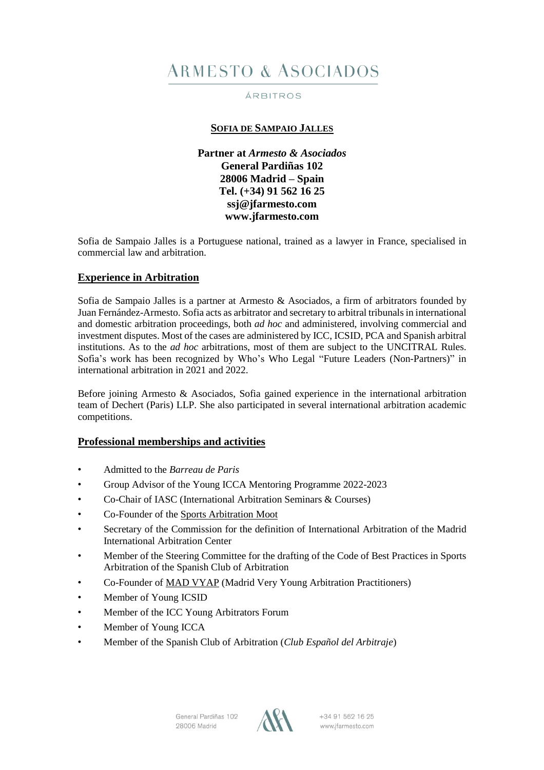# **ARMESTO & ASOCIADOS**

### ÁRBITROS

# **SOFIA DE SAMPAIO JALLES**

**Partner at** *Armesto & Asociados* **General Pardiñas 102 28006 Madrid – Spain Tel. (+34) 91 562 16 25 [ssj@jfarmesto.com](mailto:ssj@jfarmesto.com) www.jfarmesto.com**

Sofia de Sampaio Jalles is a Portuguese national, trained as a lawyer in France, specialised in commercial law and arbitration.

## **Experience in Arbitration**

Sofia de Sampaio Jalles is a partner at Armesto & Asociados, a firm of arbitrators founded by Juan Fernández-Armesto. Sofia acts as arbitrator and secretary to arbitral tribunalsin international and domestic arbitration proceedings, both *ad hoc* and administered, involving commercial and investment disputes. Most of the cases are administered by ICC, ICSID, PCA and Spanish arbitral institutions. As to the *ad hoc* arbitrations, most of them are subject to the UNCITRAL Rules. Sofia's work has been recognized by Who's Who Legal "Future Leaders (Non-Partners)" in international arbitration in 2021 and 2022.

Before joining Armesto & Asociados, Sofia gained experience in the international arbitration team of Dechert (Paris) LLP. She also participated in several international arbitration academic competitions.

## **Professional memberships and activities**

- Admitted to the *Barreau de Paris*
- Group Advisor of the Young ICCA Mentoring Programme 2022-2023
- Co-Chair of IASC (International Arbitration Seminars & Courses)
- Co-Founder of the Sports [Arbitration](https://www.sportsarbitrationmoot.com/) Moot
- Secretary of the Commission for the definition of International Arbitration of the Madrid International Arbitration Center
- Member of the Steering Committee for the drafting of the Code of Best Practices in Sports Arbitration of the Spanish Club of Arbitration
- Co-Founder of MAD [VYAP](https://www.madvyap.com/) (Madrid Very Young Arbitration Practitioners)
- Member of Young ICSID
- Member of the ICC Young Arbitrators Forum
- Member of Young ICCA
- Member of the Spanish Club of Arbitration (*Club Español del Arbitraje*)



+34 91 562 16 25 www.jfarmesto.com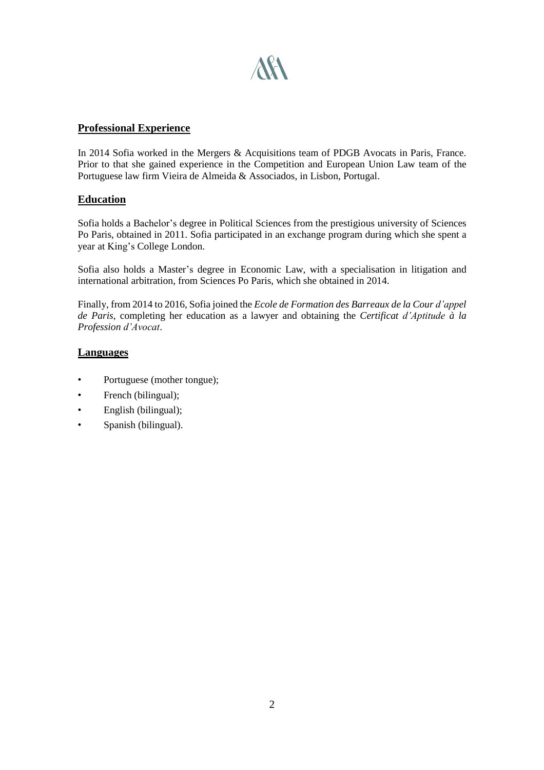

## **Professional Experience**

In 2014 Sofia worked in the Mergers & Acquisitions team of PDGB Avocats in Paris, France. Prior to that she gained experience in the Competition and European Union Law team of the Portuguese law firm Vieira de Almeida & Associados, in Lisbon, Portugal.

## **Education**

Sofia holds a Bachelor's degree in Political Sciences from the prestigious university of Sciences Po Paris, obtained in 2011. Sofia participated in an exchange program during which she spent a year at King's College London.

Sofia also holds a Master's degree in Economic Law, with a specialisation in litigation and international arbitration, from Sciences Po Paris, which she obtained in 2014.

Finally, from 2014 to 2016, Sofia joined the *Ecole de Formation des Barreaux de la Cour d'appel de Paris*, completing her education as a lawyer and obtaining the *Certificat d'Aptitude à la Profession d'Avocat*.

# **Languages**

- Portuguese (mother tongue);
- French (bilingual);
- English (bilingual);
- Spanish (bilingual).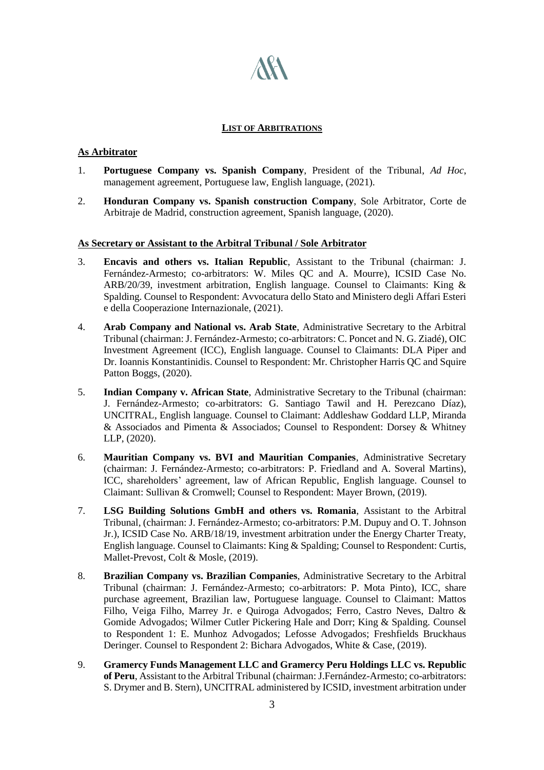

#### **LIST OF ARBITRATIONS**

### **As Arbitrator**

- 1. **Portuguese Company vs. Spanish Company**, President of the Tribunal, *Ad Hoc*, management agreement, Portuguese law, English language, (2021).
- 2. **Honduran Company vs. Spanish construction Company**, Sole Arbitrator, Corte de Arbitraje de Madrid, construction agreement, Spanish language, (2020).

#### **As Secretary or Assistant to the Arbitral Tribunal / Sole Arbitrator**

- 3. **Encavis and others vs. Italian Republic**, Assistant to the Tribunal (chairman: J. Fernández-Armesto; co-arbitrators: W. Miles QC and A. Mourre), ICSID Case No. ARB/20/39, investment arbitration, English language. Counsel to Claimants: King & Spalding. Counsel to Respondent: Avvocatura dello Stato and Ministero degli Affari Esteri e della Cooperazione Internazionale, (2021).
- 4. **Arab Company and National vs. Arab State**, Administrative Secretary to the Arbitral Tribunal (chairman: J. Fernández-Armesto; co-arbitrators: C. Poncet and N. G. Ziadé), OIC Investment Agreement (ICC), English language. Counsel to Claimants: DLA Piper and Dr. Ioannis Konstantinidis. Counsel to Respondent: Mr. Christopher Harris QC and Squire Patton Boggs, (2020).
- 5. **Indian Company v. African State**, Administrative Secretary to the Tribunal (chairman: J. Fernández-Armesto; co-arbitrators: G. Santiago Tawil and H. Perezcano Díaz), UNCITRAL, English language. Counsel to Claimant: Addleshaw Goddard LLP, Miranda & Associados and Pimenta & Associados; Counsel to Respondent: Dorsey & Whitney LLP, (2020).
- 6. **Mauritian Company vs. BVI and Mauritian Companies**, Administrative Secretary (chairman: J. Fernández-Armesto; co-arbitrators: P. Friedland and A. Soveral Martins), ICC, shareholders' agreement, law of African Republic, English language. Counsel to Claimant: Sullivan & Cromwell; Counsel to Respondent: Mayer Brown, (2019).
- 7. **LSG Building Solutions GmbH and others vs. Romania**, Assistant to the Arbitral Tribunal, (chairman: J. Fernández-Armesto; co-arbitrators: P.M. Dupuy and O. T. Johnson Jr.), ICSID Case No. ARB/18/19, investment arbitration under the Energy Charter Treaty, English language. Counsel to Claimants: King & Spalding; Counsel to Respondent: Curtis, Mallet-Prevost, Colt & Mosle, (2019).
- 8. **Brazilian Company vs. Brazilian Companies**, Administrative Secretary to the Arbitral Tribunal (chairman: J. Fernández-Armesto; co-arbitrators: P. Mota Pinto), ICC, share purchase agreement, Brazilian law, Portuguese language. Counsel to Claimant: Mattos Filho, Veiga Filho, Marrey Jr. e Quiroga Advogados; Ferro, Castro Neves, Daltro & Gomide Advogados; Wilmer Cutler Pickering Hale and Dorr; King & Spalding. Counsel to Respondent 1: E. Munhoz Advogados; Lefosse Advogados; Freshfields Bruckhaus Deringer. Counsel to Respondent 2: Bichara Advogados, White & Case, (2019).
- 9. **Gramercy Funds Management LLC and Gramercy Peru Holdings LLC vs. Republic of Peru**, Assistant to the Arbitral Tribunal (chairman: J.Fernández-Armesto; co-arbitrators: S. Drymer and B. Stern), UNCITRAL administered by ICSID, investment arbitration under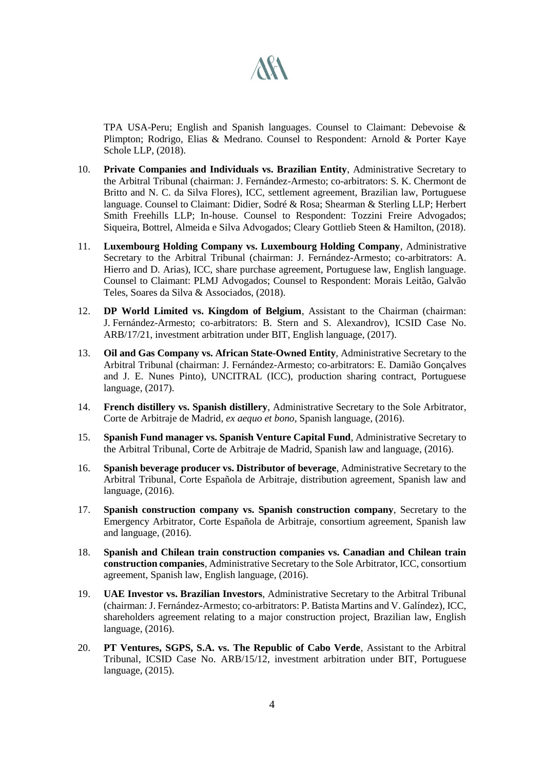

TPA USA-Peru; English and Spanish languages. Counsel to Claimant: Debevoise & Plimpton; Rodrigo, Elias & Medrano. Counsel to Respondent: Arnold & Porter Kaye Schole LLP, (2018).

- 10. **Private Companies and Individuals vs. Brazilian Entity**, Administrative Secretary to the Arbitral Tribunal (chairman: J. Fernández-Armesto; co-arbitrators: S. K. Chermont de Britto and N. C. da Silva Flores), ICC, settlement agreement, Brazilian law, Portuguese language. Counsel to Claimant: Didier, Sodré & Rosa; Shearman & Sterling LLP; Herbert Smith Freehills LLP; In-house. Counsel to Respondent: Tozzini Freire Advogados; Siqueira, Bottrel, Almeida e Silva Advogados; Cleary Gottlieb Steen & Hamilton, (2018).
- 11. **Luxembourg Holding Company vs. Luxembourg Holding Company**, Administrative Secretary to the Arbitral Tribunal (chairman: J. Fernández-Armesto; co-arbitrators: A. Hierro and D. Arias), ICC, share purchase agreement, Portuguese law, English language. Counsel to Claimant: PLMJ Advogados; Counsel to Respondent: Morais Leitão, Galvão Teles, Soares da Silva & Associados, (2018).
- 12. **DP World Limited vs. Kingdom of Belgium**, Assistant to the Chairman (chairman: J. Fernández-Armesto; co-arbitrators: B. Stern and S. Alexandrov), ICSID Case No. ARB/17/21, investment arbitration under BIT, English language, (2017).
- 13. **Oil and Gas Company vs. African State-Owned Entity**, Administrative Secretary to the Arbitral Tribunal (chairman: J. Fernández-Armesto; co-arbitrators: E. Damião Gonçalves and J. E. Nunes Pinto), UNCITRAL (ICC), production sharing contract, Portuguese language, (2017).
- 14. **French distillery vs. Spanish distillery**, Administrative Secretary to the Sole Arbitrator, Corte de Arbitraje de Madrid, *ex aequo et bono*, Spanish language, (2016).
- 15. **Spanish Fund manager vs. Spanish Venture Capital Fund**, Administrative Secretary to the Arbitral Tribunal, Corte de Arbitraje de Madrid, Spanish law and language, (2016).
- 16. **Spanish beverage producer vs. Distributor of beverage**, Administrative Secretary to the Arbitral Tribunal, Corte Española de Arbitraje, distribution agreement, Spanish law and language, (2016).
- 17. **Spanish construction company vs. Spanish construction company**, Secretary to the Emergency Arbitrator, Corte Española de Arbitraje, consortium agreement, Spanish law and language, (2016).
- 18. **Spanish and Chilean train construction companies vs. Canadian and Chilean train construction companies**, Administrative Secretary to the Sole Arbitrator, ICC, consortium agreement, Spanish law, English language, (2016).
- 19. **UAE Investor vs. Brazilian Investors**, Administrative Secretary to the Arbitral Tribunal (chairman: J. Fernández-Armesto; co-arbitrators: P. Batista Martins and V. Galíndez), ICC, shareholders agreement relating to a major construction project, Brazilian law, English language, (2016).
- 20. **PT Ventures, SGPS, S.A. vs. The Republic of Cabo Verde**, Assistant to the Arbitral Tribunal, ICSID Case No. ARB/15/12, investment arbitration under BIT, Portuguese language, (2015).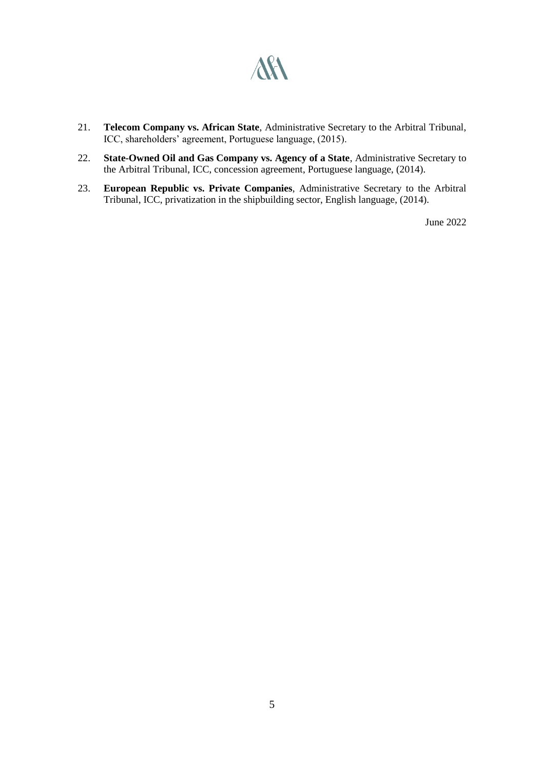

- 21. **Telecom Company vs. African State**, Administrative Secretary to the Arbitral Tribunal, ICC, shareholders' agreement, Portuguese language, (2015).
- 22. **State-Owned Oil and Gas Company vs. Agency of a State**, Administrative Secretary to the Arbitral Tribunal, ICC, concession agreement, Portuguese language, (2014).
- 23. **European Republic vs. Private Companies**, Administrative Secretary to the Arbitral Tribunal, ICC, privatization in the shipbuilding sector, English language, (2014).

June 2022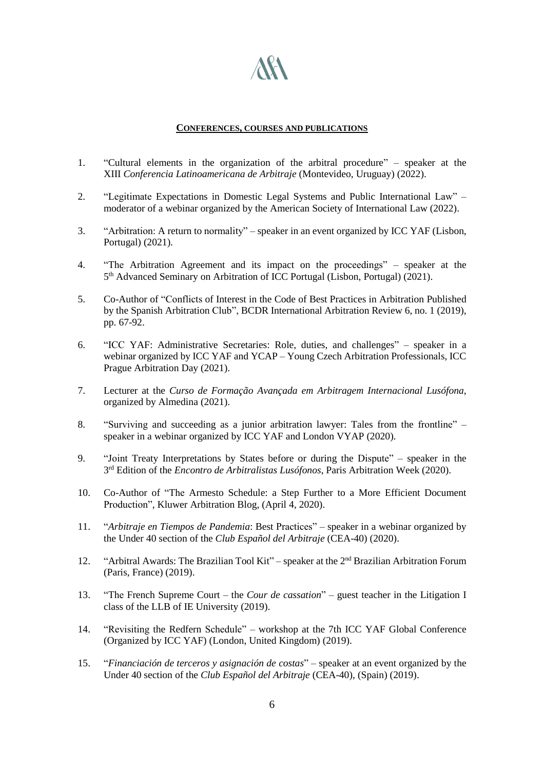

#### **CONFERENCES, COURSES AND PUBLICATIONS**

- 1. "Cultural elements in the organization of the arbitral procedure" speaker at the XIII *Conferencia Latinoamericana de Arbitraje* (Montevideo, Uruguay) (2022).
- 2. "Legitimate Expectations in Domestic Legal Systems and Public International Law" moderator of a webinar organized by the American Society of International Law (2022).
- 3. "Arbitration: A return to normality" speaker in an event organized by ICC YAF (Lisbon, Portugal) (2021).
- 4. "The Arbitration Agreement and its impact on the proceedings" speaker at the 5 th Advanced Seminary on Arbitration of ICC Portugal (Lisbon, Portugal) (2021).
- 5. Co-Author of "Conflicts of Interest in the Code of Best Practices in Arbitration Published by the Spanish Arbitration Club", BCDR International Arbitration Review 6, no. 1 (2019), pp. 67-92.
- 6. "ICC YAF: Administrative Secretaries: Role, duties, and challenges" speaker in a webinar organized by ICC YAF and YCAP – Young Czech Arbitration Professionals, ICC Prague Arbitration Day (2021).
- 7. Lecturer at the *Curso de Formação Avançada em Arbitragem Internacional Lusófona*, organized by Almedina (2021).
- 8. "Surviving and succeeding as a junior arbitration lawyer: Tales from the frontline" speaker in a webinar organized by ICC YAF and London VYAP (2020).
- 9. "Joint Treaty Interpretations by States before or during the Dispute" speaker in the 3 rd Edition of the *Encontro de Arbitralistas Lusófonos*, Paris Arbitration Week (2020).
- 10. Co-Author of "The Armesto Schedule: a Step Further to a More Efficient Document Production", Kluwer Arbitration Blog, (April 4, 2020).
- 11. "*Arbitraje en Tiempos de Pandemia*: Best Practices" speaker in a webinar organized by the Under 40 section of the *Club Español del Arbitraje* (CEA-40) (2020).
- 12. "Arbitral Awards: The Brazilian Tool Kit" speaker at the 2<sup>nd</sup> Brazilian Arbitration Forum (Paris, France) (2019).
- 13. "The French Supreme Court the *Cour de cassation*" guest teacher in the Litigation I class of the LLB of IE University (2019).
- 14. "Revisiting the Redfern Schedule" workshop at the 7th ICC YAF Global Conference (Organized by ICC YAF) (London, United Kingdom) (2019).
- 15. "*Financiación de terceros y asignación de costas*" speaker at an event organized by the Under 40 section of the *Club Español del Arbitraje* (CEA-40), (Spain) (2019).